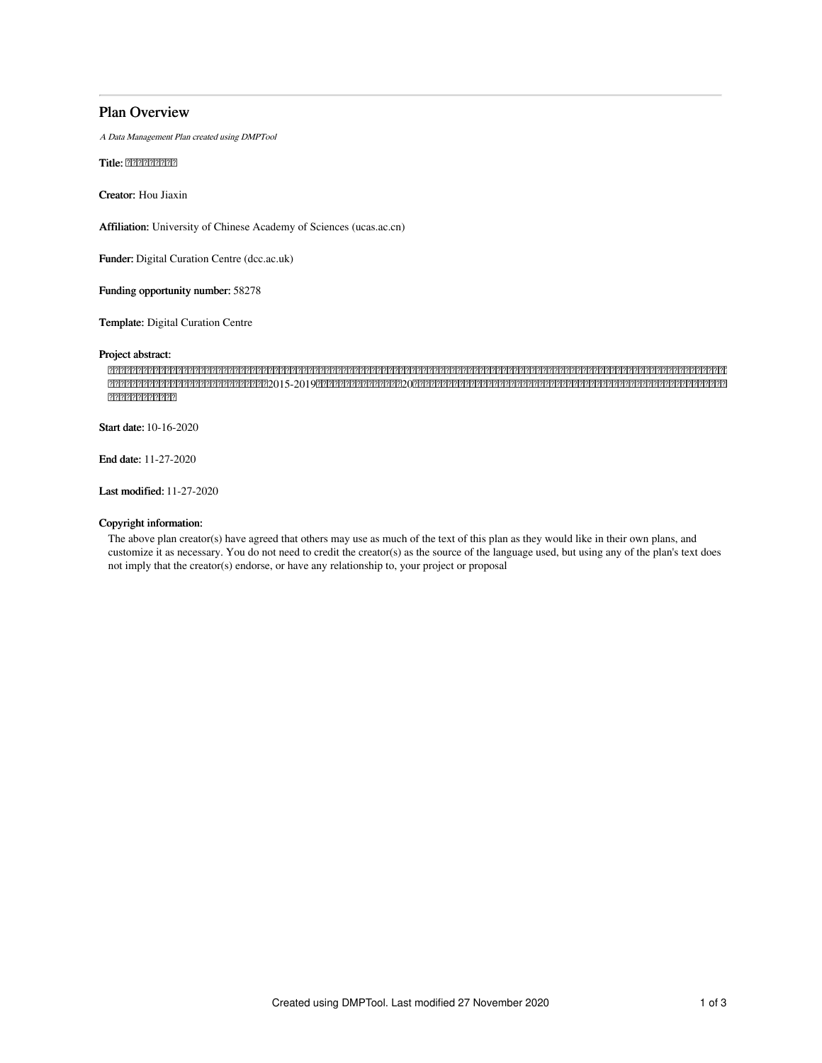# Plan Overview

A Data Management Plan created using DMPTool

Title: 222222222

Creator: Hou Jiaxin

Affiliation: University of Chinese Academy of Sciences (ucas.ac.cn)

Funder: Digital Curation Centre (dcc.ac.uk)

Funding opportunity number: 58278

Template: Digital Curation Centre

#### Project abstract:

 2015-201920 ????????????????

Start date: 10-16-2020

End date: 11-27-2020

Last modified: 11-27-2020

## Copyright information:

The above plan creator(s) have agreed that others may use as much of the text of this plan as they would like in their own plans, and customize it as necessary. You do not need to credit the creator(s) as the source of the language used, but using any of the plan's text does not imply that the creator(s) endorse, or have any relationship to, your project or proposal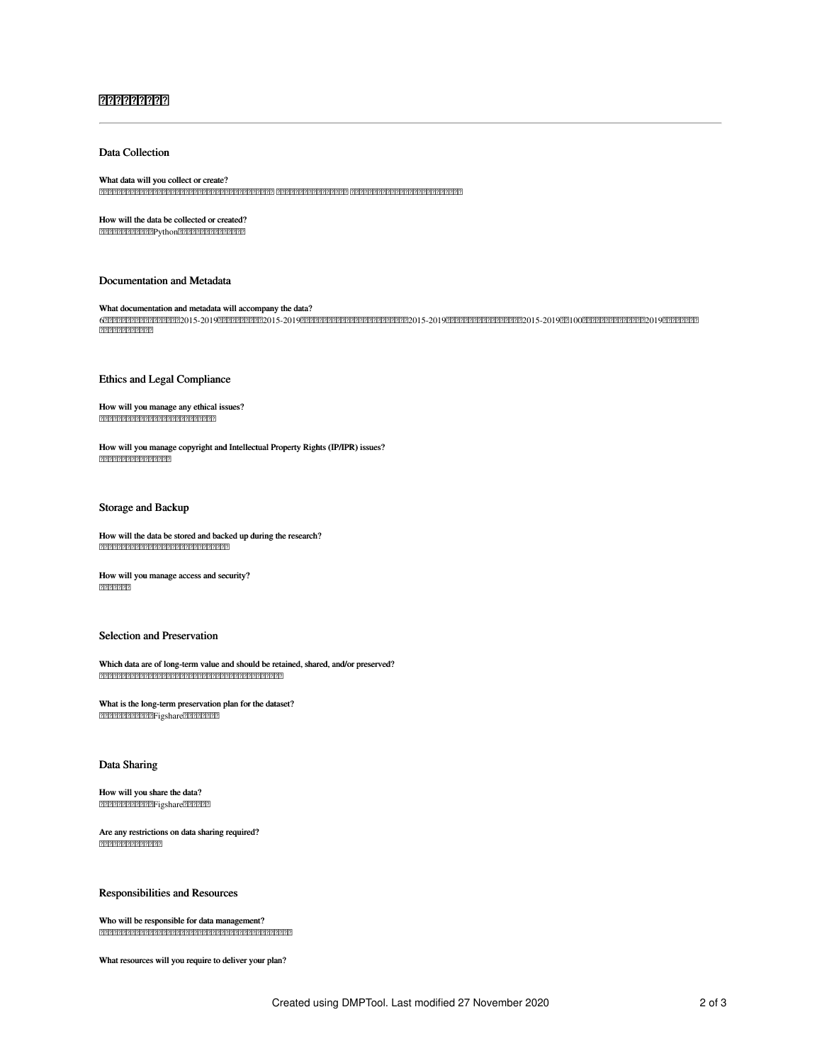## ??????????????

#### Data Collection

#### What data will you collect or create?

How will the data be collected or created? 2222222222222Python22222222222222222

#### Documentation and Metadata

What documentation and metadata will accompany the data? 62015-20192015-20192015-20192015-20191002019 2222222222222

#### Ethics and Legal Compliance

How will you manage any ethical issues? 2222222222222222222222222222222222

How will you manage copyright and Intellectual Property Rights (IP/IPR) issues? 2222222222222222222

#### Storage and Backup

How will the data be stored and backed up during the research? 

How will you manage access and security?  $777777777$ 

#### Selection and Preservation

Which data are of long-term value and should be retained, shared, and/or preserved? 

What is the long-term preservation plan for the dataset? Figshare

#### Data Sharing

How will you share the data? Figshare

Are any restrictions on data sharing required? 

Responsibilities and Resources

Who will be responsible for data management? 

What resources will you require to deliver your plan?